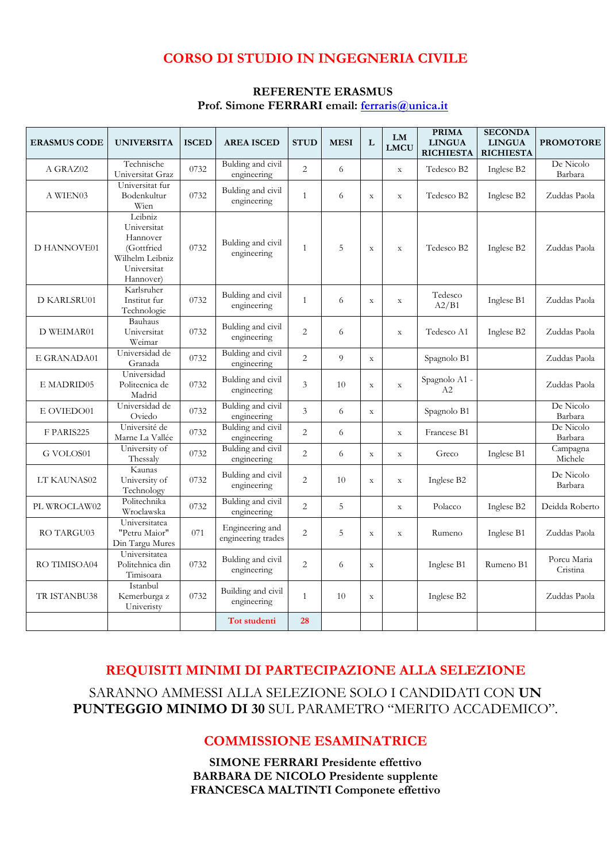# **CORSO DI STUDIO IN INGEGNERIA CIVILE**

| <b>REFERENTE ERASMUS</b>                      |  |  |  |  |  |  |  |
|-----------------------------------------------|--|--|--|--|--|--|--|
| Prof. Simone FERRARI email: ferraris@unica.it |  |  |  |  |  |  |  |

| <b>ERASMUS CODE</b> | <b>UNIVERSITA</b>                                                                               | <b>ISCED</b> | <b>AREA ISCED</b>                     | <b>STUD</b>    | <b>MESI</b> | L           | LM<br><b>LMCU</b> | <b>PRIMA</b><br><b>LINGUA</b><br><b>RICHIESTA</b> | <b>SECONDA</b><br><b>LINGUA</b><br><b>RICHIESTA</b> | <b>PROMOTORE</b>        |
|---------------------|-------------------------------------------------------------------------------------------------|--------------|---------------------------------------|----------------|-------------|-------------|-------------------|---------------------------------------------------|-----------------------------------------------------|-------------------------|
| A GRAZ02            | Technische<br>Universitat Graz                                                                  | 0732         | Bulding and civil<br>engineering      | $\overline{c}$ | 6           |             | $\mathbf X$       | Tedesco B2                                        | Inglese B2                                          | De Nicolo<br>Barbara    |
| A WIEN03            | Universitat fur<br>Bodenkultur<br>Wien                                                          | 0732         | Bulding and civil<br>engineering      | $\mathbf{1}$   | 6           | $\mathbf X$ | $\mathbf X$       | Tedesco B2                                        | Inglese B2                                          | Zuddas Paola            |
| <b>D HANNOVE01</b>  | Leibniz<br>Universitat<br>Hannover<br>(Gottfried<br>Wilhelm Leibniz<br>Universitat<br>Hannover) | 0732         | Bulding and civil<br>engineering      | $\mathbf{1}$   | 5           | $\mathbf X$ | $\mathbf X$       | Tedesco B2                                        | Inglese B2                                          | Zuddas Paola            |
| <b>D KARLSRU01</b>  | Karlsruher<br>Institut fur<br>Technologie                                                       | 0732         | Bulding and civil<br>engineering      | $\mathbf{1}$   | 6           | $\mathbf X$ | $\mathbf X$       | Tedesco<br>A2/B1                                  | Inglese B1                                          | Zuddas Paola            |
| D WEIMAR01          | Bauhaus<br>Universitat<br>Weimar                                                                | 0732         | Bulding and civil<br>engineering      | $\overline{2}$ | 6           |             | $\mathbf X$       | Tedesco A1                                        | Inglese B2                                          | Zuddas Paola            |
| E GRANADA01         | Universidad de<br>Granada                                                                       | 0732         | Bulding and civil<br>engineering      | $\overline{2}$ | 9           | $\mathbf X$ |                   | Spagnolo B1                                       |                                                     | Zuddas Paola            |
| E MADRID05          | Universidad<br>Politecnica de<br>Madrid                                                         | 0732         | Bulding and civil<br>engineering      | 3              | 10          | $\mathbf X$ | $\mathbf X$       | Spagnolo A1 -<br>A2                               |                                                     | Zuddas Paola            |
| E OVIEDO01          | Universidad de<br>Oviedo                                                                        | 0732         | Bulding and civil<br>engineering      | $\mathfrak{Z}$ | 6           | $\mathbf X$ |                   | Spagnolo B1                                       |                                                     | De Nicolo<br>Barbara    |
| F PARIS225          | Université de<br>Marne La Vallée                                                                | 0732         | Bulding and civil<br>engineering      | $\overline{2}$ | 6           |             | $\mathbf X$       | Francese B1                                       |                                                     | De Nicolo<br>Barbara    |
| G VOLOS01           | University of<br>Thessalv                                                                       | 0732         | Bulding and civil<br>engineering      | $\overline{2}$ | 6           | $\mathbf X$ | $\mathbf X$       | Greco                                             | Inglese B1                                          | Campagna<br>Michele     |
| LT KAUNAS02         | Kaunas<br>University of<br>Technology                                                           | 0732         | Bulding and civil<br>engineering      | $\overline{2}$ | 10          | $\mathbf X$ | $\mathbf{X}$      | Inglese B2                                        |                                                     | De Nicolo<br>Barbara    |
| PL WROCLAW02        | Politechnika<br>Wroclawska                                                                      | 0732         | Bulding and civil<br>engineering      | $\overline{2}$ | 5           |             | $\mathbf X$       | Polacco                                           | Inglese B2                                          | Deidda Roberto          |
| RO TARGU03          | Universitatea<br>"Petru Maior"<br>Din Targu Mures                                               | 071          | Engineering and<br>engineering trades | $\overline{2}$ | 5           | $\mathbf X$ | $\mathbf X$       | Rumeno                                            | Inglese B1                                          | Zuddas Paola            |
| RO TIMISOA04        | Universitatea<br>Politehnica din<br>Timisoara                                                   | 0732         | Bulding and civil<br>engineering      | $\overline{2}$ | 6           | $\mathbf X$ |                   | Inglese B1                                        | Rumeno B1                                           | Porcu Maria<br>Cristina |
| TR ISTANBU38        | Istanbul<br>Kemerburga z<br>Univeristy                                                          | 0732         | Building and civil<br>engineering     | $\mathbf{1}$   | 10          | $\mathbf X$ |                   | Inglese B2                                        |                                                     | Zuddas Paola            |
|                     |                                                                                                 |              | Tot studenti                          | 28             |             |             |                   |                                                   |                                                     |                         |

# **REQUISITI MINIMI DI PARTECIPAZIONE ALLA SELEZIONE**

SARANNO AMMESSI ALLA SELEZIONE SOLO I CANDIDATI CON **UN PUNTEGGIO MINIMO DI 30** SUL PARAMETRO "MERITO ACCADEMICO".

### **COMMISSIONE ESAMINATRICE**

**SIMONE FERRARI Presidente effettivo BARBARA DE NICOLO Presidente supplente FRANCESCA MALTINTI Componete effettivo**